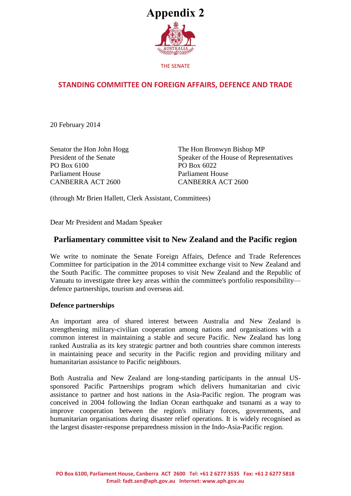

THE SENATE

# **STANDING COMMITTEE ON FOREIGN AFFAIRS, DEFENCE AND TRADE**

20 February 2014

Senator the Hon John Hogg President of the Senate PO Box 6100 Parliament House CANBERRA ACT 2600

The Hon Bronwyn Bishop MP Speaker of the House of Representatives PO Box 6022 Parliament House CANBERRA ACT 2600

(through Mr Brien Hallett, Clerk Assistant, Committees)

Dear Mr President and Madam Speaker

### **Parliamentary committee visit to New Zealand and the Pacific region**

We write to nominate the Senate Foreign Affairs, Defence and Trade References Committee for participation in the 2014 committee exchange visit to New Zealand and the South Pacific. The committee proposes to visit New Zealand and the Republic of Vanuatu to investigate three key areas within the committee's portfolio responsibility defence partnerships, tourism and overseas aid.

#### **Defence partnerships**

An important area of shared interest between Australia and New Zealand is strengthening military-civilian cooperation among nations and organisations with a common interest in maintaining a stable and secure Pacific. New Zealand has long ranked Australia as its key strategic partner and both countries share common interests in maintaining peace and security in the Pacific region and providing military and humanitarian assistance to Pacific neighbours.

Both Australia and New Zealand are long-standing participants in the annual USsponsored Pacific Partnerships program which delivers humanitarian and civic assistance to partner and host nations in the Asia-Pacific region. The program was conceived in 2004 following the Indian Ocean earthquake and tsunami as a way to improve cooperation between the region's military forces, governments, and humanitarian organisations during disaster relief operations. It is widely recognised as the largest disaster-response preparedness mission in the Indo-Asia-Pacific region.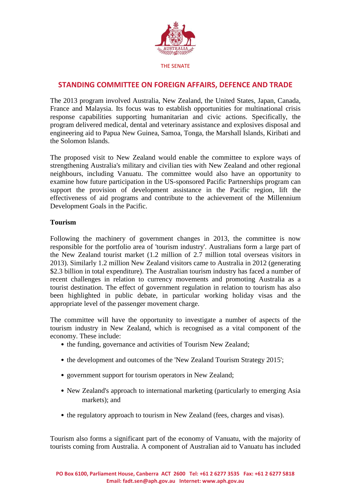

The 2013 program involved Australia, New Zealand, the United States, Japan, Canada, France and Malaysia. Its focus was to establish opportunities for multinational crisis response capabilities supporting humanitarian and civic actions. Specifically, the program delivered medical, dental and veterinary assistance and explosives disposal and engineering aid to Papua New Guinea, Samoa, Tonga, the Marshall Islands, Kiribati and the Solomon Islands.

The proposed visit to New Zealand would enable the committee to explore ways of strengthening Australia's military and civilian ties with New Zealand and other regional neighbours, including Vanuatu. The committee would also have an opportunity to examine how future participation in the US-sponsored Pacific Partnerships program can support the provision of development assistance in the Pacific region, lift the effectiveness of aid programs and contribute to the achievement of the Millennium Development Goals in the Pacific.

### **Tourism**

Following the machinery of government changes in 2013, the committee is now responsible for the portfolio area of 'tourism industry'. Australians form a large part of the New Zealand tourist market (1.2 million of 2.7 million total overseas visitors in 2013). Similarly 1.2 million New Zealand visitors came to Australia in 2012 (generating \$2.3 billion in total expenditure). The Australian tourism industry has faced a number of recent challenges in relation to currency movements and promoting Australia as a tourist destination. The effect of government regulation in relation to tourism has also been highlighted in public debate, in particular working holiday visas and the appropriate level of the passenger movement charge.

The committee will have the opportunity to investigate a number of aspects of the tourism industry in New Zealand, which is recognised as a vital component of the economy. These include:

- the funding, governance and activities of Tourism New Zealand;
- the development and outcomes of the 'New Zealand Tourism Strategy 2015';
- government support for tourism operators in New Zealand;
- New Zealand's approach to international marketing (particularly to emerging Asia markets); and
- the regulatory approach to tourism in New Zealand (fees, charges and visas).

Tourism also forms a significant part of the economy of Vanuatu, with the majority of tourists coming from Australia. A component of Australian aid to Vanuatu has included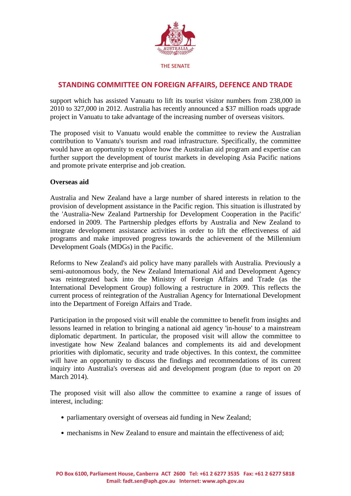

support which has assisted Vanuatu to lift its tourist visitor numbers from 238,000 in 2010 to 327,000 in 2012. Australia has recently announced a \$37 million roads upgrade project in Vanuatu to take advantage of the increasing number of overseas visitors.

The proposed visit to Vanuatu would enable the committee to review the Australian contribution to Vanuatu's tourism and road infrastructure. Specifically, the committee would have an opportunity to explore how the Australian aid program and expertise can further support the development of tourist markets in developing Asia Pacific nations and promote private enterprise and job creation.

### **Overseas aid**

Australia and New Zealand have a large number of shared interests in relation to the provision of development assistance in the Pacific region. This situation is illustrated by the 'Australia-New Zealand Partnership for Development Cooperation in the Pacific' endorsed in 2009. The Partnership pledges efforts by Australia and New Zealand to integrate development assistance activities in order to lift the effectiveness of aid programs and make improved progress towards the achievement of the Millennium Development Goals (MDGs) in the Pacific.

Reforms to New Zealand's aid policy have many parallels with Australia. Previously a semi-autonomous body, the New Zealand International Aid and Development Agency was reintegrated back into the Ministry of Foreign Affairs and Trade (as the International Development Group) following a restructure in 2009. This reflects the current process of reintegration of the Australian Agency for International Development into the Department of Foreign Affairs and Trade.

Participation in the proposed visit will enable the committee to benefit from insights and lessons learned in relation to bringing a national aid agency 'in-house' to a mainstream diplomatic department. In particular, the proposed visit will allow the committee to investigate how New Zealand balances and complements its aid and development priorities with diplomatic, security and trade objectives. In this context, the committee will have an opportunity to discuss the findings and recommendations of its current inquiry into Australia's overseas aid and development program (due to report on 20 March 2014).

The proposed visit will also allow the committee to examine a range of issues of interest, including:

- parliamentary oversight of overseas aid funding in New Zealand;
- mechanisms in New Zealand to ensure and maintain the effectiveness of aid;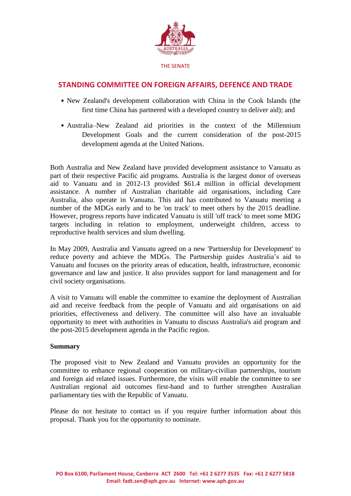

- New Zealand's development collaboration with China in the Cook Islands (the first time China has partnered with a developed country to deliver aid); and
- Australia–New Zealand aid priorities in the context of the Millennium Development Goals and the current consideration of the post-2015 development agenda at the United Nations.

Both Australia and New Zealand have provided development assistance to Vanuatu as part of their respective Pacific aid programs. Australia is the largest donor of overseas aid to Vanuatu and in 2012-13 provided \$61.4 million in official development assistance. A number of Australian charitable aid organisations, including Care Australia, also operate in Vanuatu. This aid has contributed to Vanuatu meeting a number of the MDGs early and to be 'on track' to meet others by the 2015 deadline. However, progress reports have indicated Vanuatu is still 'off track' to meet some MDG targets including in relation to employment, underweight children, access to reproductive health services and slum dwelling.

In May 2009, Australia and Vanuatu agreed on a new 'Partnership for Development' to reduce poverty and achieve the MDGs. The Partnership guides Australia's aid to Vanuatu and focuses on the priority areas of education, health, infrastructure, economic governance and law and justice. It also provides support for land management and for civil society organisations.

A visit to Vanuatu will enable the committee to examine the deployment of Australian aid and receive feedback from the people of Vanuatu and aid organisations on aid priorities, effectiveness and delivery. The committee will also have an invaluable opportunity to meet with authorities in Vanuatu to discuss Australia's aid program and the post-2015 development agenda in the Pacific region.

#### **Summary**

The proposed visit to New Zealand and Vanuatu provides an opportunity for the committee to enhance regional cooperation on military-civilian partnerships, tourism and foreign aid related issues. Furthermore, the visits will enable the committee to see Australian regional aid outcomes first-hand and to further strengthen Australian parliamentary ties with the Republic of Vanuatu.

Please do not hesitate to contact us if you require further information about this proposal. Thank you for the opportunity to nominate.